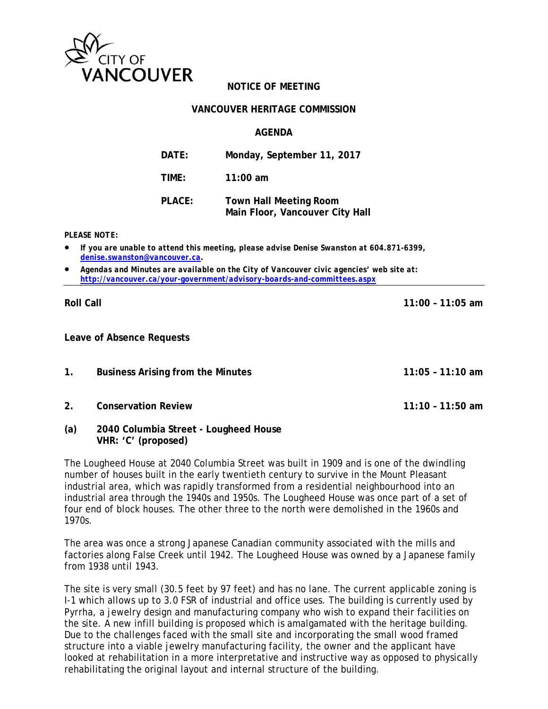

# **NOTICE OF MEETING**

### **VANCOUVER HERITAGE COMMISSION**

### **AGENDA**

| DATE:  | Monday, September 11, 2017                                       |
|--------|------------------------------------------------------------------|
| TIME:  | $11:00$ am                                                       |
| PLACE: | <b>Town Hall Meeting Room</b><br>Main Floor, Vancouver City Hall |

*PLEASE NOTE:* 

- *If you are unable to attend this meeting, please advise Denise Swanston at 604.871-6399, denise.swanston@vancouver.ca.*
- *Agendas and Minutes are available on the City of Vancouver civic agencies' web site at: http://vancouver.ca/your-government/advisory-boards-and-committees.aspx*

**Roll Call 11:00 – 11:05 am** 

**Leave of Absence Requests** 

- **1. Business Arising from the Minutes 11:05 11:10 am**
- **2. Conservation Review 11:10 11:50 am**
- **(a) 2040 Columbia Street Lougheed House VHR: 'C' (proposed)**

The Lougheed House at 2040 Columbia Street was built in 1909 and is one of the dwindling number of houses built in the early twentieth century to survive in the Mount Pleasant industrial area, which was rapidly transformed from a residential neighbourhood into an industrial area through the 1940s and 1950s. The Lougheed House was once part of a set of four end of block houses. The other three to the north were demolished in the 1960s and 1970s.

The area was once a strong Japanese Canadian community associated with the mills and factories along False Creek until 1942. The Lougheed House was owned by a Japanese family from 1938 until 1943.

The site is very small (30.5 feet by 97 feet) and has no lane. The current applicable zoning is I-1 which allows up to 3.0 FSR of industrial and office uses. The building is currently used by Pyrrha, a jewelry design and manufacturing company who wish to expand their facilities on the site. A new infill building is proposed which is amalgamated with the heritage building. Due to the challenges faced with the small site and incorporating the small wood framed structure into a viable jewelry manufacturing facility, the owner and the applicant have looked at rehabilitation in a more interpretative and instructive way as opposed to physically rehabilitating the original layout and internal structure of the building.